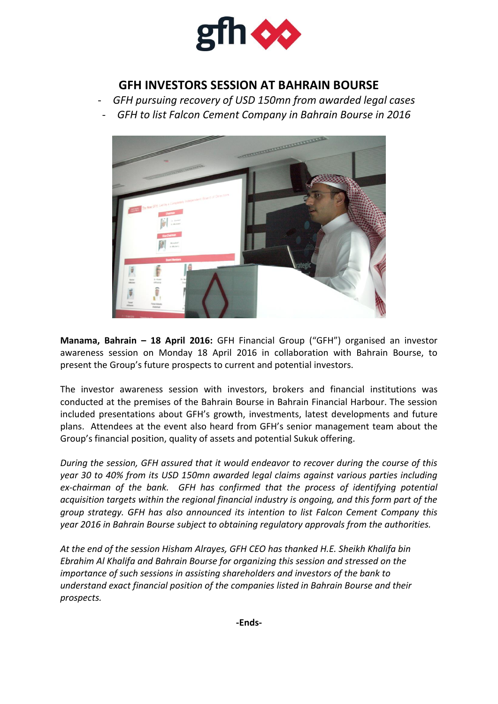

## **GFH INVESTORS SESSION AT BAHRAIN BOURSE**

- *GFH pursuing recovery of USD 150mn from awarded legal cases*
- *GFH to list Falcon Cement Company in Bahrain Bourse in 2016*



**Manama, Bahrain – 18 April 2016:** GFH Financial Group ("GFH") organised an investor awareness session on Monday 18 April 2016 in collaboration with Bahrain Bourse, to present the Group's future prospects to current and potential investors.

The investor awareness session with investors, brokers and financial institutions was conducted at the premises of the Bahrain Bourse in Bahrain Financial Harbour. The session included presentations about GFH's growth, investments, latest developments and future plans. Attendees at the event also heard from GFH's senior management team about the Group's financial position, quality of assets and potential Sukuk offering.

*During the session, GFH assured that it would endeavor to recover during the course of this year 30 to 40% from its USD 150mn awarded legal claims against various parties including ex-chairman of the bank. GFH has confirmed that the process of identifying potential acquisition targets within the regional financial industry is ongoing, and this form part of the group strategy. GFH has also announced its intention to list Falcon Cement Company this year 2016 in Bahrain Bourse subject to obtaining regulatory approvals from the authorities.*

*At the end of the session Hisham Alrayes, GFH CEO has thanked H.E. Sheikh Khalifa bin Ebrahim Al Khalifa and Bahrain Bourse for organizing this session and stressed on the importance of such sessions in assisting shareholders and investors of the bank to understand exact financial position of the companies listed in Bahrain Bourse and their prospects.*